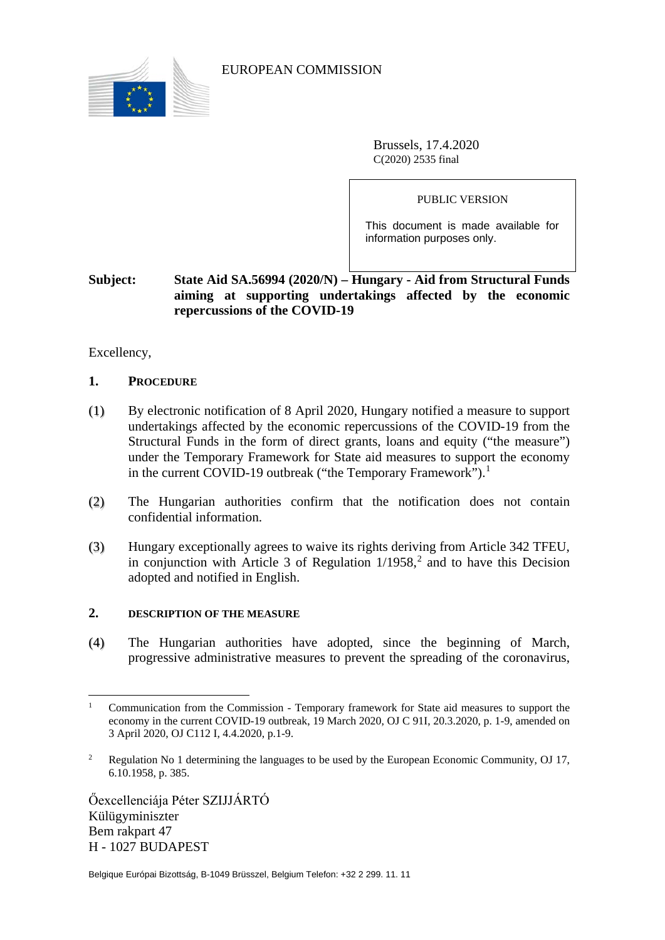

EUROPEAN COMMISSION

Brussels, 17.4.2020 C(2020) 2535 final

PUBLIC VERSION

This document is made available for information purposes only.

# **Subject: State Aid SA.56994 (2020/N) – Hungary - Aid from Structural Funds aiming at supporting undertakings affected by the economic repercussions of the COVID-19**

Excellency,

#### **1. PROCEDURE**

- (1) By electronic notification of 8 April 2020, Hungary notified a measure to support undertakings affected by the economic repercussions of the COVID-19 from the Structural Funds in the form of direct grants, loans and equity ("the measure") under the Temporary Framework for State aid measures to support the economy in the current COVID-[1](#page-0-0)9 outbreak ("the Temporary Framework").<sup>1</sup>
- (2) The Hungarian authorities confirm that the notification does not contain confidential information.
- (3) Hungary exceptionally agrees to waive its rights deriving from Article 342 TFEU, in conjunction with Article 3 of Regulation  $1/1958$ <sup>[2](#page-0-1)</sup> and to have this Decision adopted and notified in English.

#### **2. DESCRIPTION OF THE MEASURE**

(4) The Hungarian authorities have adopted, since the beginning of March, progressive administrative measures to prevent the spreading of the coronavirus,

Őexcellenciája Péter SZIJJÁRTÓ Külügyminiszter Bem rakpart 47 H - 1027 BUDAPEST

<span id="page-0-0"></span><sup>&</sup>lt;sup>1</sup> Communication from the Commission - Temporary framework for State aid measures to support the economy in the current COVID-19 outbreak, 19 March 2020, OJ C 91I, 20.3.2020, p. 1-9, amended on 3 April 2020, OJ C112 I, 4.4.2020, p.1-9.

<span id="page-0-1"></span><sup>2</sup> Regulation No 1 determining the languages to be used by the European Economic Community, OJ 17, 6.10.1958, p. 385.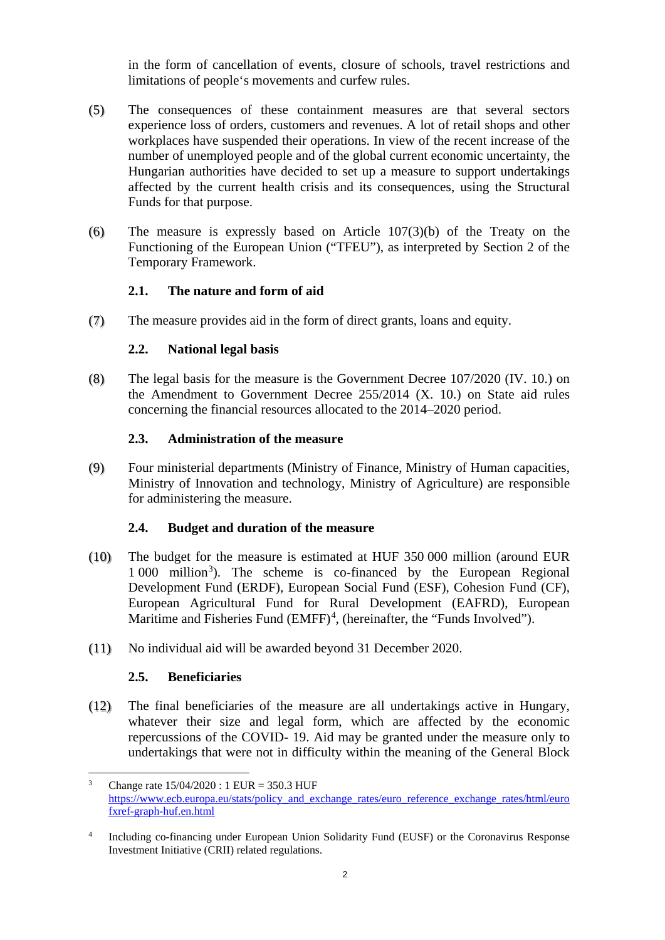in the form of cancellation of events, closure of schools, travel restrictions and limitations of people's movements and curfew rules.

- (5) The consequences of these containment measures are that several sectors experience loss of orders, customers and revenues. A lot of retail shops and other workplaces have suspended their operations. In view of the recent increase of the number of unemployed people and of the global current economic uncertainty, the Hungarian authorities have decided to set up a measure to support undertakings affected by the current health crisis and its consequences, using the Structural Funds for that purpose.
- (6) The measure is expressly based on Article 107(3)(b) of the Treaty on the Functioning of the European Union ("TFEU"), as interpreted by Section 2 of the Temporary Framework.

## **2.1. The nature and form of aid**

<span id="page-1-3"></span>(7) The measure provides aid in the form of direct grants, loans and equity.

## **2.2. National legal basis**

<span id="page-1-2"></span>(8) The legal basis for the measure is the Government Decree 107/2020 (IV. 10.) on the Amendment to Government Decree 255/2014 (X. 10.) on State aid rules concerning the financial resources allocated to the 2014–2020 period.

## **2.3. Administration of the measure**

(9) Four ministerial departments (Ministry of Finance, Ministry of Human capacities, Ministry of Innovation and technology, Ministry of Agriculture) are responsible for administering the measure.

#### **2.4. Budget and duration of the measure**

- (10) The budget for the measure is estimated at HUF 350 000 million (around EUR 1 000 million<sup>[3](#page-1-0)</sup>). The scheme is co-financed by the European Regional Development Fund (ERDF), European Social Fund (ESF), Cohesion Fund (CF), European Agricultural Fund for Rural Development (EAFRD), European Maritime and Fisheries Fund (EMFF)<sup>[4](#page-1-1)</sup>, (hereinafter, the "Funds Involved").
- (11) No individual aid will be awarded beyond 31 December 2020.

# **2.5. Beneficiaries**

(12) The final beneficiaries of the measure are all undertakings active in Hungary, whatever their size and legal form, which are affected by the economic repercussions of the COVID- 19. Aid may be granted under the measure only to undertakings that were not in difficulty within the meaning of the General Block

<span id="page-1-0"></span><sup>&</sup>lt;sup>3</sup> Change rate  $15/04/2020$ : 1 EUR = 350.3 HUF [https://www.ecb.europa.eu/stats/policy\\_and\\_exchange\\_rates/euro\\_reference\\_exchange\\_rates/html/euro](https://www.ecb.europa.eu/stats/policy_and_exchange_rates/euro_reference_exchange_rates/html/eurofxref-graph-huf.en.html) [fxref-graph-huf.en.html](https://www.ecb.europa.eu/stats/policy_and_exchange_rates/euro_reference_exchange_rates/html/eurofxref-graph-huf.en.html)

<span id="page-1-1"></span><sup>&</sup>lt;sup>4</sup> Including co-financing under European Union Solidarity Fund (EUSF) or the Coronavirus Response Investment Initiative (CRII) related regulations.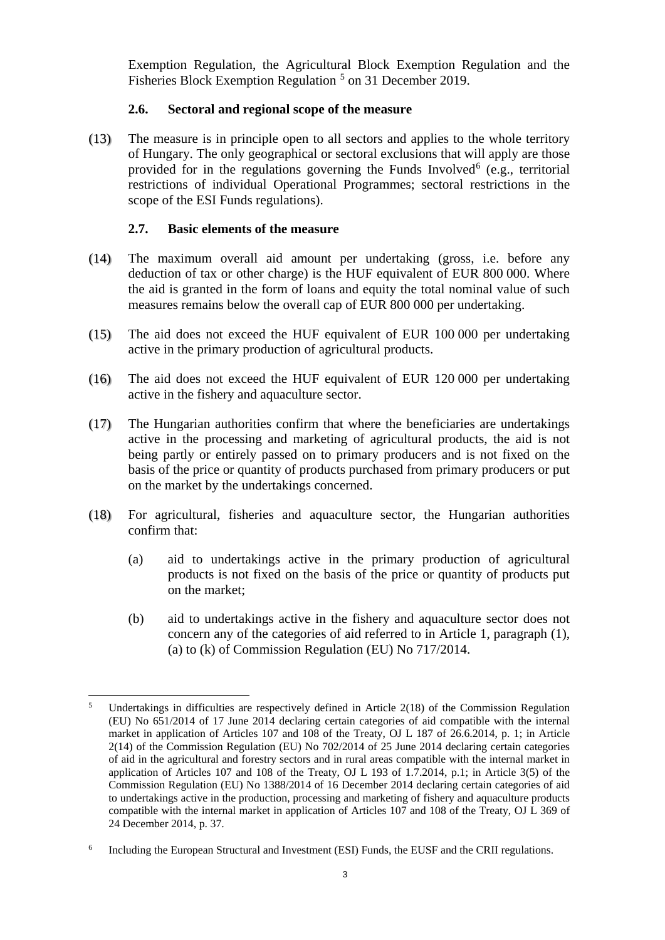Exemption Regulation, the Agricultural Block Exemption Regulation and the Fisheries Block Exemption Regulation <sup>[5](#page-2-0)</sup> on 31 December 2019.

## **2.6. Sectoral and regional scope of the measure**

(13) The measure is in principle open to all sectors and applies to the whole territory of Hungary. The only geographical or sectoral exclusions that will apply are those provided for in the regulations governing the Funds Involved<sup>[6](#page-2-1)</sup> (e.g., territorial restrictions of individual Operational Programmes; sectoral restrictions in the scope of the ESI Funds regulations).

## **2.7. Basic elements of the measure**

- (14) The maximum overall aid amount per undertaking (gross, i.e. before any deduction of tax or other charge) is the HUF equivalent of EUR 800 000. Where the aid is granted in the form of loans and equity the total nominal value of such measures remains below the overall cap of EUR 800 000 per undertaking.
- (15) The aid does not exceed the HUF equivalent of EUR 100 000 per undertaking active in the primary production of agricultural products.
- (16) The aid does not exceed the HUF equivalent of EUR 120 000 per undertaking active in the fishery and aquaculture sector.
- (17) The Hungarian authorities confirm that where the beneficiaries are undertakings active in the processing and marketing of agricultural products, the aid is not being partly or entirely passed on to primary producers and is not fixed on the basis of the price or quantity of products purchased from primary producers or put on the market by the undertakings concerned.
- (18) For agricultural, fisheries and aquaculture sector, the Hungarian authorities confirm that:
	- (a) aid to undertakings active in the primary production of agricultural products is not fixed on the basis of the price or quantity of products put on the market;
	- (b) aid to undertakings active in the fishery and aquaculture sector does not concern any of the categories of aid referred to in Article 1, paragraph (1), (a) to (k) of Commission Regulation (EU) No 717/2014.

<span id="page-2-0"></span> $\frac{1}{5}$ <sup>5</sup> Undertakings in difficulties are respectively defined in Article  $2(18)$  of the Commission Regulation (EU) No 651/2014 of 17 June 2014 declaring certain categories of aid compatible with the internal market in application of Articles 107 and 108 of the Treaty, OJ L 187 of 26.6.2014, p. 1; in Article 2(14) of the Commission Regulation (EU) No 702/2014 of 25 June 2014 declaring certain categories of aid in the agricultural and forestry sectors and in rural areas compatible with the internal market in application of Articles 107 and 108 of the Treaty, OJ L 193 of 1.7.2014, p.1; in Article 3(5) of the Commission Regulation (EU) No 1388/2014 of 16 December 2014 declaring certain categories of aid to undertakings active in the production, processing and marketing of fishery and aquaculture products compatible with the internal market in application of Articles 107 and 108 of the Treaty, OJ L 369 of 24 December 2014, p. 37.

<span id="page-2-1"></span><sup>&</sup>lt;sup>6</sup> Including the European Structural and Investment (ESI) Funds, the EUSF and the CRII regulations.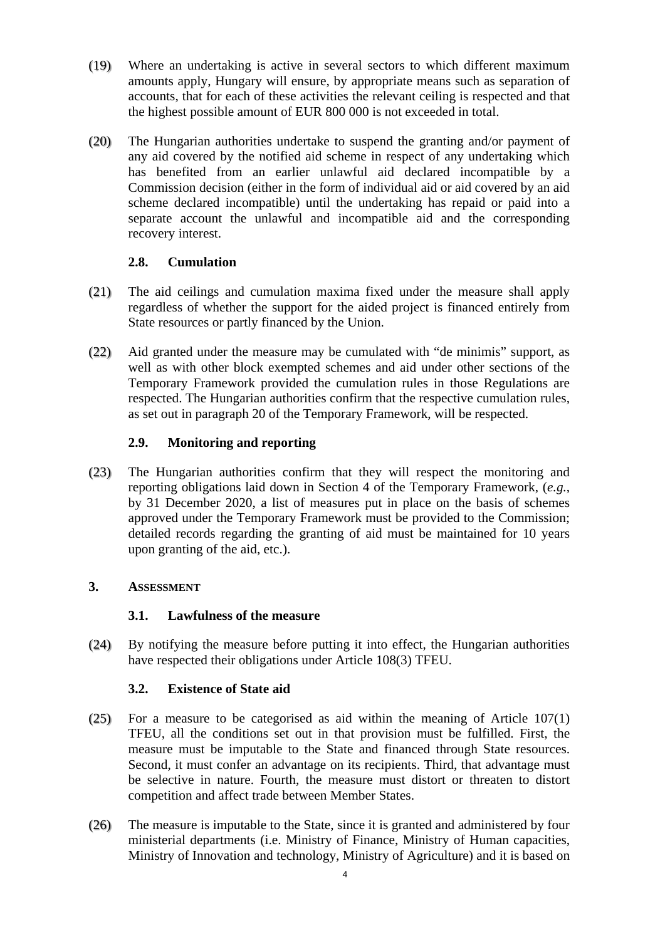- (19) Where an undertaking is active in several sectors to which different maximum amounts apply, Hungary will ensure, by appropriate means such as separation of accounts, that for each of these activities the relevant ceiling is respected and that the highest possible amount of EUR 800 000 is not exceeded in total.
- (20) The Hungarian authorities undertake to suspend the granting and/or payment of any aid covered by the notified aid scheme in respect of any undertaking which has benefited from an earlier unlawful aid declared incompatible by a Commission decision (either in the form of individual aid or aid covered by an aid scheme declared incompatible) until the undertaking has repaid or paid into a separate account the unlawful and incompatible aid and the corresponding recovery interest.

# **2.8. Cumulation**

- (21) The aid ceilings and cumulation maxima fixed under the measure shall apply regardless of whether the support for the aided project is financed entirely from State resources or partly financed by the Union.
- (22) Aid granted under the measure may be cumulated with "de minimis" support, as well as with other block exempted schemes and aid under other sections of the Temporary Framework provided the cumulation rules in those Regulations are respected. The Hungarian authorities confirm that the respective cumulation rules, as set out in paragraph 20 of the Temporary Framework, will be respected.

## **2.9. Monitoring and reporting**

(23) The Hungarian authorities confirm that they will respect the monitoring and reporting obligations laid down in Section 4 of the Temporary Framework, (*e.g.*, by 31 December 2020, a list of measures put in place on the basis of schemes approved under the Temporary Framework must be provided to the Commission; detailed records regarding the granting of aid must be maintained for 10 years upon granting of the aid, etc.).

# **3. ASSESSMENT**

#### **3.1. Lawfulness of the measure**

(24) By notifying the measure before putting it into effect, the Hungarian authorities have respected their obligations under Article 108(3) TFEU.

#### **3.2. Existence of State aid**

- (25) For a measure to be categorised as aid within the meaning of Article 107(1) TFEU, all the conditions set out in that provision must be fulfilled. First, the measure must be imputable to the State and financed through State resources. Second, it must confer an advantage on its recipients. Third, that advantage must be selective in nature. Fourth, the measure must distort or threaten to distort competition and affect trade between Member States.
- (26) The measure is imputable to the State, since it is granted and administered by four ministerial departments (i.e. Ministry of Finance, Ministry of Human capacities, Ministry of Innovation and technology, Ministry of Agriculture) and it is based on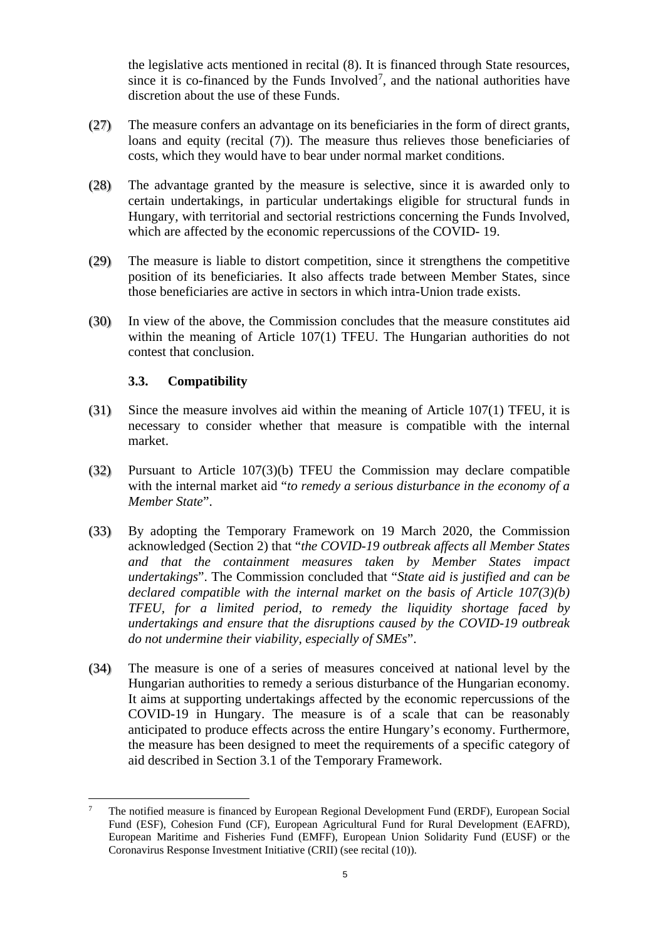the legislative acts mentioned in recital [\(8\).](#page-1-2) It is financed through State resources, since it is co-financed by the Funds Involved<sup>[7](#page-4-0)</sup>, and the national authorities have discretion about the use of these Funds.

- (27) The measure confers an advantage on its beneficiaries in the form of direct grants, loans and equity (recital [\(7\)\)](#page-1-3). The measure thus relieves those beneficiaries of costs, which they would have to bear under normal market conditions.
- (28) The advantage granted by the measure is selective, since it is awarded only to certain undertakings, in particular undertakings eligible for structural funds in Hungary, with territorial and sectorial restrictions concerning the Funds Involved, which are affected by the economic repercussions of the COVID- 19.
- (29) The measure is liable to distort competition, since it strengthens the competitive position of its beneficiaries. It also affects trade between Member States, since those beneficiaries are active in sectors in which intra-Union trade exists.
- (30) In view of the above, the Commission concludes that the measure constitutes aid within the meaning of Article 107(1) TFEU. The Hungarian authorities do not contest that conclusion.

## **3.3. Compatibility**

- (31) Since the measure involves aid within the meaning of Article 107(1) TFEU, it is necessary to consider whether that measure is compatible with the internal market.
- (32) Pursuant to Article 107(3)(b) TFEU the Commission may declare compatible with the internal market aid "*to remedy a serious disturbance in the economy of a Member State*".
- (33) By adopting the Temporary Framework on 19 March 2020, the Commission acknowledged (Section 2) that "*the COVID-19 outbreak affects all Member States and that the containment measures taken by Member States impact undertakings*". The Commission concluded that "*State aid is justified and can be declared compatible with the internal market on the basis of Article 107(3)(b) TFEU, for a limited period, to remedy the liquidity shortage faced by undertakings and ensure that the disruptions caused by the COVID-19 outbreak do not undermine their viability, especially of SMEs*".
- (34) The measure is one of a series of measures conceived at national level by the Hungarian authorities to remedy a serious disturbance of the Hungarian economy. It aims at supporting undertakings affected by the economic repercussions of the COVID-19 in Hungary. The measure is of a scale that can be reasonably anticipated to produce effects across the entire Hungary's economy. Furthermore, the measure has been designed to meet the requirements of a specific category of aid described in Section 3.1 of the Temporary Framework.

<span id="page-4-0"></span> <sup>7</sup> The notified measure is financed by European Regional Development Fund (ERDF), European Social Fund (ESF), Cohesion Fund (CF), European Agricultural Fund for Rural Development (EAFRD), European Maritime and Fisheries Fund (EMFF), European Union Solidarity Fund (EUSF) or the Coronavirus Response Investment Initiative (CRII) (see recital (10)).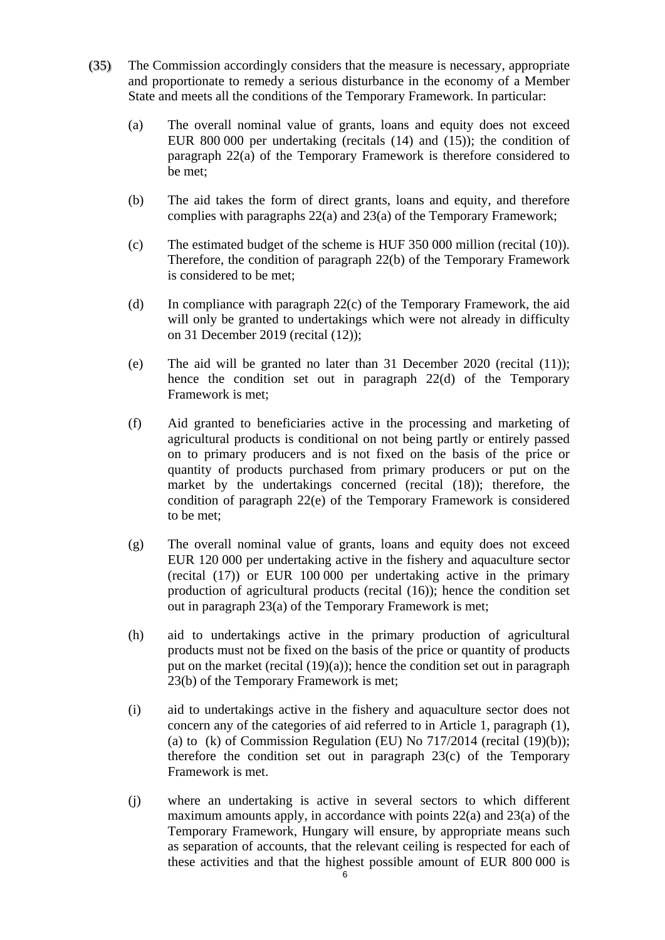- (35) The Commission accordingly considers that the measure is necessary, appropriate and proportionate to remedy a serious disturbance in the economy of a Member State and meets all the conditions of the Temporary Framework. In particular:
	- (a) The overall nominal value of grants, loans and equity does not exceed EUR 800 000 per undertaking (recitals (14) and (15)); the condition of paragraph 22(a) of the Temporary Framework is therefore considered to be met;
	- (b) The aid takes the form of direct grants, loans and equity, and therefore complies with paragraphs 22(a) and 23(a) of the Temporary Framework;
	- (c) The estimated budget of the scheme is HUF 350 000 million (recital (10)). Therefore, the condition of paragraph 22(b) of the Temporary Framework is considered to be met;
	- (d) In compliance with paragraph  $22(c)$  of the Temporary Framework, the aid will only be granted to undertakings which were not already in difficulty on 31 December 2019 (recital (12));
	- (e) The aid will be granted no later than 31 December 2020 (recital (11)); hence the condition set out in paragraph 22(d) of the Temporary Framework is met;
	- (f) Aid granted to beneficiaries active in the processing and marketing of agricultural products is conditional on not being partly or entirely passed on to primary producers and is not fixed on the basis of the price or quantity of products purchased from primary producers or put on the market by the undertakings concerned (recital (18)); therefore, the condition of paragraph 22(e) of the Temporary Framework is considered to be met;
	- (g) The overall nominal value of grants, loans and equity does not exceed EUR 120 000 per undertaking active in the fishery and aquaculture sector (recital (17)) or EUR 100 000 per undertaking active in the primary production of agricultural products (recital (16)); hence the condition set out in paragraph 23(a) of the Temporary Framework is met;
	- (h) aid to undertakings active in the primary production of agricultural products must not be fixed on the basis of the price or quantity of products put on the market (recital  $(19)(a)$ ); hence the condition set out in paragraph 23(b) of the Temporary Framework is met;
	- (i) aid to undertakings active in the fishery and aquaculture sector does not concern any of the categories of aid referred to in Article 1, paragraph (1), (a) to (k) of Commission Regulation (EU) No  $717/2014$  (recital  $(19)(b)$ ); therefore the condition set out in paragraph 23(c) of the Temporary Framework is met.
	- (j) where an undertaking is active in several sectors to which different maximum amounts apply, in accordance with points  $22(a)$  and  $23(a)$  of the Temporary Framework, Hungary will ensure, by appropriate means such as separation of accounts, that the relevant ceiling is respected for each of these activities and that the highest possible amount of EUR 800 000 is